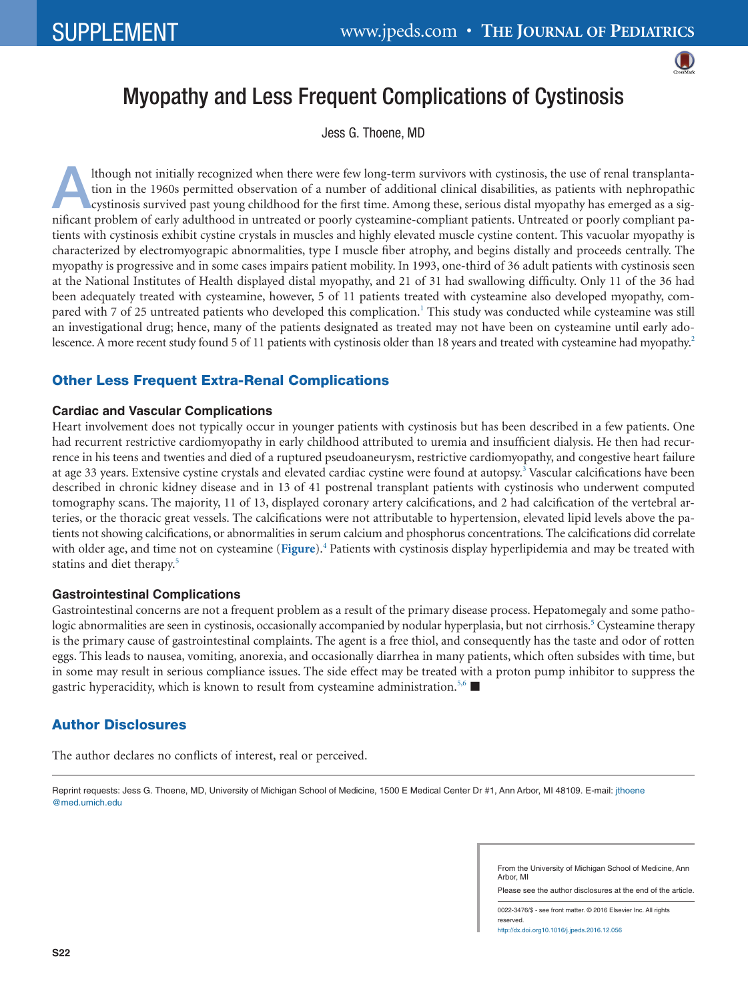

# Myopathy and Less Frequent Complications of Cystinosis

Jess G. Thoene, MD

Ithough not initially recognized when there were few long-term survivors with cystinosis, the use of renal transplanta-<br>tion in the 1960s permitted observation of a number of additional clinical disabilities, as patients w tion in the 1960s permitted observation of a number of additional clinical disabilities, as patients with nephropathic nificant problem of early adulthood in untreated or poorly cysteamine-compliant patients. Untreated or poorly compliant patients with cystinosis exhibit cystine crystals in muscles and highly elevated muscle cystine content. This vacuolar myopathy is characterized by electromyograpic abnormalities, type I muscle fiber atrophy, and begins distally and proceeds centrally. The myopathy is progressive and in some cases impairs patient mobility. In 1993, one-third of 36 adult patients with cystinosis seen at the National Institutes of Health displayed distal myopathy, and 21 of 31 had swallowing difficulty. Only 11 of the 36 had been adequately treated with cysteamine, however, 5 of 11 patients treated with cysteamine also developed myopathy, compared with 7 of 25 untreated patients who developed this complication.<sup>1</sup> This study was conducted while cysteamine was still an investigational drug; hence, many of the patients designated as treated may not have been on cysteamine until early adolescence. A more recent study found 5 of 11 patients with cystinosis older than 18 years and treated with cysteamine had myopathy.<sup>2</sup>

## Other Less Frequent Extra-Renal Complications

#### **Cardiac and Vascular Complications**

Heart involvement does not typically occur in younger patients with cystinosis but has been described in a few patients. One had recurrent restrictive cardiomyopathy in early childhood attributed to uremia and insufficient dialysis. He then had recurrence in his teens and twenties and died of a ruptured pseudoaneurysm, restrictive cardiomyopathy, and congestive heart failure at age 33 years. Extensive cystine crystals and elevated cardiac cystine were found at autopsy.<sup>3</sup> Vascular calcifications have been described in chronic kidney disease and in 13 of 41 postrenal transplant patients with cystinosis who underwent computed tomography scans. The majority, 11 of 13, displayed coronary artery calcifications, and 2 had calcification of the vertebral arteries, or the thoracic great vessels. The calcifications were not attributable to hypertension, elevated lipid levels above the patients not showing calcifications, or abnormalities in serum calcium and phosphorus concentrations. The calcifications did correlate with older age, and time not on cysteamine ([Figure](#page-1-3)).<sup>4</sup> Patients with cystinosis display hyperlipidemia and may be treated with statins and diet therapy[.5](#page-1-5)

### **Gastrointestinal Complications**

Gastrointestinal concerns are not a frequent problem as a result of the primary disease process. Hepatomegaly and some pathologic abnormalities are seen in cystinosis, occasionally accompanied by nodular hyperplasia, but not cirrhosis.<sup>5</sup> Cysteamine therapy is the primary cause of gastrointestinal complaints. The agent is a free thiol, and consequently has the taste and odor of rotten eggs. This leads to nausea, vomiting, anorexia, and occasionally diarrhea in many patients, which often subsides with time, but in some may result in serious compliance issues. The side effect may be treated with a proton pump inhibitor to suppress the gastric hyperacidity, which is known to result from cysteamine administration.<sup>5,6</sup>

## Author Disclosures

The author declares no conflicts of interest, real or perceived.

Reprint requests: Jess G. Thoene, MD, University of Michigan School of Medicine, 1500 E Medical Center Dr #1, Ann Arbor, MI 48109. E-mail: [jthoene](mailto:jthoene@med.umich.edu) [@med.umich.edu](mailto:jthoene@med.umich.edu)

> From the University of Michigan School of Medicine, Ann Arbor, MI

> Please see the author disclosures at the end of the article.

0022-3476/\$ - see front matter. © 2016 Elsevier Inc. All rights reserved. http://dx.doi.org10.1016/j.jpeds.2016.12.056